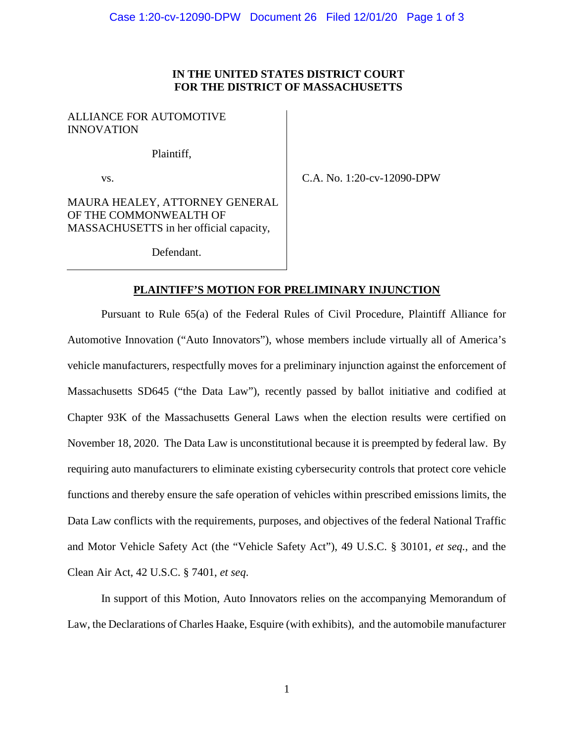### **IN THE UNITED STATES DISTRICT COURT FOR THE DISTRICT OF MASSACHUSETTS**

# ALLIANCE FOR AUTOMOTIVE INNOVATION

Plaintiff,

vs.

C.A. No. 1:20-cv-12090-DPW

MAURA HEALEY, ATTORNEY GENERAL OF THE COMMONWEALTH OF MASSACHUSETTS in her official capacity,

Defendant.

#### **PLAINTIFF'S MOTION FOR PRELIMINARY INJUNCTION**

Pursuant to Rule 65(a) of the Federal Rules of Civil Procedure, Plaintiff Alliance for Automotive Innovation ("Auto Innovators"), whose members include virtually all of America's vehicle manufacturers, respectfully moves for a preliminary injunction against the enforcement of Massachusetts SD645 ("the Data Law"), recently passed by ballot initiative and codified at Chapter 93K of the Massachusetts General Laws when the election results were certified on November 18, 2020. The Data Law is unconstitutional because it is preempted by federal law. By requiring auto manufacturers to eliminate existing cybersecurity controls that protect core vehicle functions and thereby ensure the safe operation of vehicles within prescribed emissions limits, the Data Law conflicts with the requirements, purposes, and objectives of the federal National Traffic and Motor Vehicle Safety Act (the "Vehicle Safety Act"), 49 U.S.C. § 30101*, et seq.*, and the Clean Air Act, 42 U.S.C. § 7401, *et seq*.

In support of this Motion, Auto Innovators relies on the accompanying Memorandum of Law, the Declarations of Charles Haake, Esquire (with exhibits), and the automobile manufacturer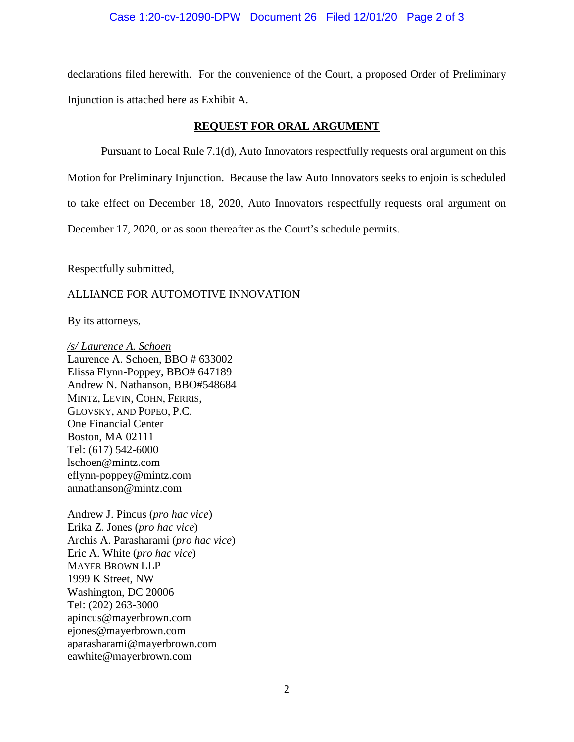#### Case 1:20-cv-12090-DPW Document 26 Filed 12/01/20 Page 2 of 3

declarations filed herewith. For the convenience of the Court, a proposed Order of Preliminary Injunction is attached here as Exhibit A.

#### **REQUEST FOR ORAL ARGUMENT**

Pursuant to Local Rule 7.1(d), Auto Innovators respectfully requests oral argument on this Motion for Preliminary Injunction. Because the law Auto Innovators seeks to enjoin is scheduled to take effect on December 18, 2020, Auto Innovators respectfully requests oral argument on December 17, 2020, or as soon thereafter as the Court's schedule permits.

Respectfully submitted,

# ALLIANCE FOR AUTOMOTIVE INNOVATION

By its attorneys,

*/s/ Laurence A. Schoen*  Laurence A. Schoen, BBO # 633002 Elissa Flynn-Poppey, BBO# 647189 Andrew N. Nathanson, BBO#548684 MINTZ, LEVIN, COHN, FERRIS, GLOVSKY, AND POPEO, P.C. One Financial Center Boston, MA 02111 Tel: (617) 542-6000 lschoen@mintz.com eflynn-poppey@mintz.com annathanson@mintz.com

Andrew J. Pincus (*pro hac vice*) Erika Z. Jones (*pro hac vice*) Archis A. Parasharami (*pro hac vice*) Eric A. White (*pro hac vice*) MAYER BROWN LLP 1999 K Street, NW Washington, DC 20006 Tel: (202) 263-3000 apincus@mayerbrown.com ejones@mayerbrown.com aparasharami@mayerbrown.com eawhite@mayerbrown.com